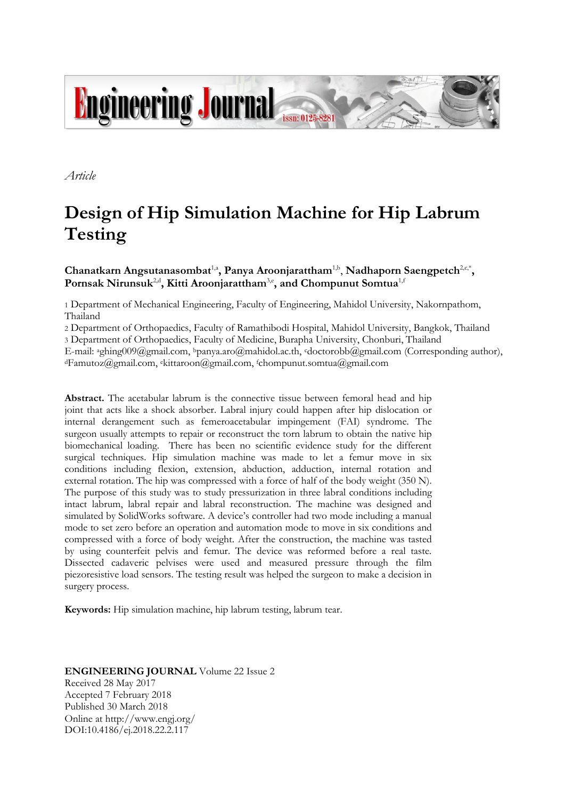

*Article*

# **Design of Hip Simulation Machine for Hip Labrum Testing**

Chanatkarn Angsutanasombat<sup>1,a</sup>, Panya Aroonjarattham<sup>1,b</sup>, Nadhaporn Saengpetch<sup>2,c,\*</sup>, **Pornsak Nirunsuk**2,d **, Kitti Aroonjarattham**3,e **, and Chompunut Somtua**1,f

1 Department of Mechanical Engineering, Faculty of Engineering, Mahidol University, Nakornpathom, Thailand

2 Department of Orthopaedics, Faculty of Ramathibodi Hospital, Mahidol University, Bangkok, Thailand

3 Department of Orthopaedics, Faculty of Medicine, Burapha University, Chonburi, Thailand

E-mail: <sup>a</sup>ghing009@gmail.com, <sup>b</sup>panya.aro@mahidol.ac.th, cdoctorobb@gmail.com (Corresponding author), <sup>d</sup>Famutoz@gmail.com, <sup>e</sup>kittaroon@gmail.com, <sup>f</sup>chompunut.somtua@gmail.com

**Abstract.** The acetabular labrum is the connective tissue between femoral head and hip joint that acts like a shock absorber. Labral injury could happen after hip dislocation or internal derangement such as femeroacetabular impingement (FAI) syndrome. The surgeon usually attempts to repair or reconstruct the torn labrum to obtain the native hip biomechanical loading. There has been no scientific evidence study for the different surgical techniques. Hip simulation machine was made to let a femur move in six conditions including flexion, extension, abduction, adduction, internal rotation and external rotation. The hip was compressed with a force of half of the body weight (350 N). The purpose of this study was to study pressurization in three labral conditions including intact labrum, labral repair and labral reconstruction. The machine was designed and simulated by SolidWorks software. A device's controller had two mode including a manual mode to set zero before an operation and automation mode to move in six conditions and compressed with a force of body weight. After the construction, the machine was tasted by using counterfeit pelvis and femur. The device was reformed before a real taste. Dissected cadaveric pelvises were used and measured pressure through the film piezoresistive load sensors. The testing result was helped the surgeon to make a decision in surgery process.

**Keywords:** Hip simulation machine, hip labrum testing, labrum tear.

#### **ENGINEERING JOURNAL** Volume 22 Issue 2 Received 28 May 2017 Accepted 7 February 2018 Published 30 March 2018

Online at http://www.engj.org/ DOI:10.4186/ej.2018.22.2.117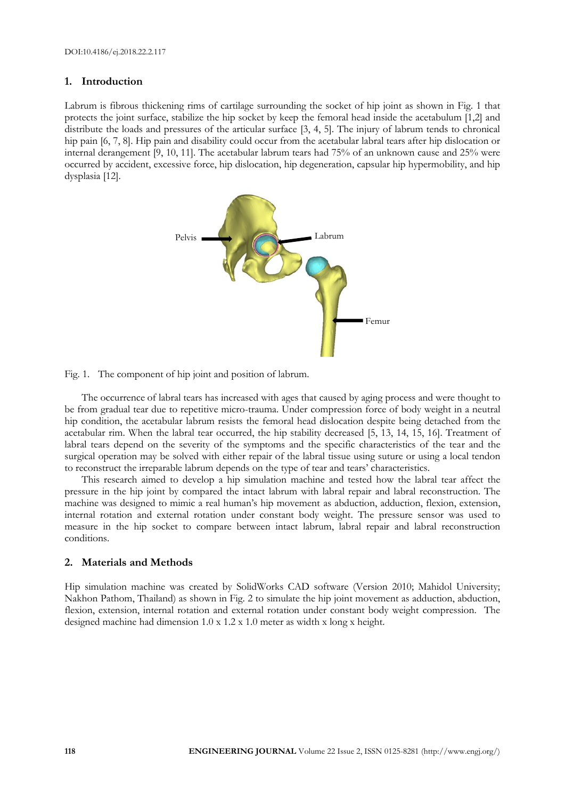#### **1. Introduction**

Labrum is fibrous thickening rims of cartilage surrounding the socket of hip joint as shown in Fig. 1 that protects the joint surface, stabilize the hip socket by keep the femoral head inside the acetabulum [1,2] and distribute the loads and pressures of the articular surface [3, 4, 5]. The injury of labrum tends to chronical hip pain [6, 7, 8]. Hip pain and disability could occur from the acetabular labral tears after hip dislocation or internal derangement [9, 10, 11]. The acetabular labrum tears had 75% of an unknown cause and 25% were occurred by accident, excessive force, hip dislocation, hip degeneration, capsular hip hypermobility, and hip dysplasia [12].





The occurrence of labral tears has increased with ages that caused by aging process and were thought to be from gradual tear due to repetitive micro-trauma. Under compression force of body weight in a neutral hip condition, the acetabular labrum resists the femoral head dislocation despite being detached from the acetabular rim. When the labral tear occurred, the hip stability decreased [5, 13, 14, 15, 16]. Treatment of labral tears depend on the severity of the symptoms and the specific characteristics of the tear and the surgical operation may be solved with either repair of the labral tissue using suture or using a local tendon to reconstruct the irreparable labrum depends on the type of tear and tears' characteristics.

This research aimed to develop a hip simulation machine and tested how the labral tear affect the pressure in the hip joint by compared the intact labrum with labral repair and labral reconstruction. The machine was designed to mimic a real human's hip movement as abduction, adduction, flexion, extension, internal rotation and external rotation under constant body weight. The pressure sensor was used to measure in the hip socket to compare between intact labrum, labral repair and labral reconstruction conditions.

## **2. Materials and Methods**

Hip simulation machine was created by SolidWorks CAD software (Version 2010; Mahidol University; Nakhon Pathom, Thailand) as shown in Fig. 2 to simulate the hip joint movement as adduction, abduction, flexion, extension, internal rotation and external rotation under constant body weight compression. The designed machine had dimension 1.0 x 1.2 x 1.0 meter as width x long x height.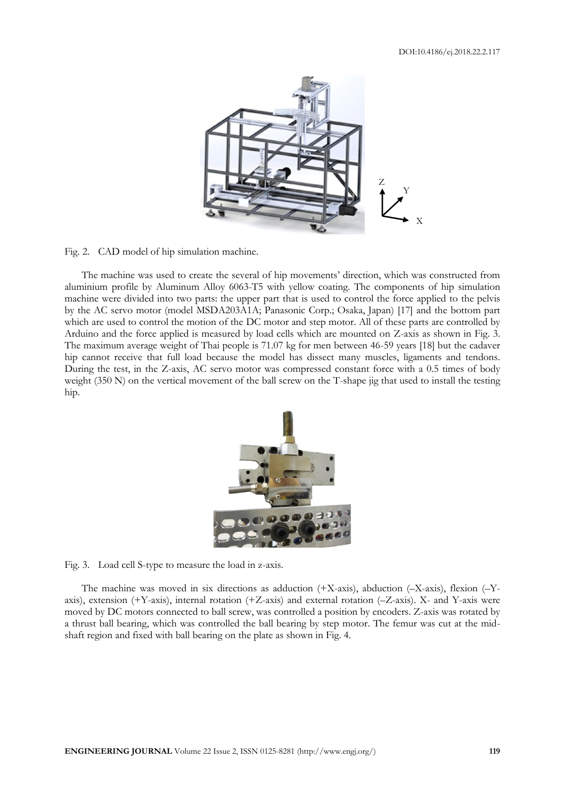

Fig. 2. CAD model of hip simulation machine.

The machine was used to create the several of hip movements' direction, which was constructed from aluminium profile by Aluminum Alloy 6063-T5 with yellow coating. The components of hip simulation machine were divided into two parts: the upper part that is used to control the force applied to the pelvis by the AC servo motor (model MSDA203A1A; Panasonic Corp.; Osaka, Japan) [17] and the bottom part which are used to control the motion of the DC motor and step motor. All of these parts are controlled by Arduino and the force applied is measured by load cells which are mounted on Z-axis as shown in Fig. 3. The maximum average weight of Thai people is 71.07 kg for men between 46-59 years [18] but the cadaver hip cannot receive that full load because the model has dissect many muscles, ligaments and tendons. During the test, in the Z-axis, AC servo motor was compressed constant force with a 0.5 times of body weight (350 N) on the vertical movement of the ball screw on the T-shape jig that used to install the testing hip.



Fig. 3. Load cell S-type to measure the load in z-axis.

The machine was moved in six directions as adduction  $(+X\text{-axis})$ , abduction  $(-X\text{-axis})$ , flexion  $(-Y\text{-axis})$ axis), extension (+Y-axis), internal rotation (+Z-axis) and external rotation (–Z-axis). X- and Y-axis were moved by DC motors connected to ball screw, was controlled a position by encoders. Z-axis was rotated by a thrust ball bearing, which was controlled the ball bearing by step motor. The femur was cut at the midshaft region and fixed with ball bearing on the plate as shown in Fig. 4.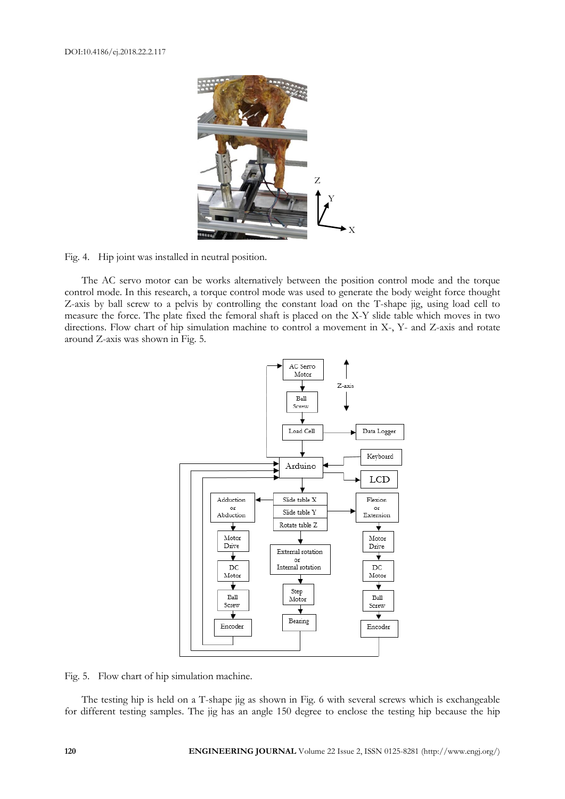

Fig. 4. Hip joint was installed in neutral position.

The AC servo motor can be works alternatively between the position control mode and the torque control mode. In this research, a torque control mode was used to generate the body weight force thought Z-axis by ball screw to a pelvis by controlling the constant load on the T-shape jig, using load cell to measure the force. The plate fixed the femoral shaft is placed on the X-Y slide table which moves in two directions. Flow chart of hip simulation machine to control a movement in X-, Y- and Z-axis and rotate around Z-axis was shown in Fig. 5.



Fig. 5. Flow chart of hip simulation machine.

The testing hip is held on a T-shape jig as shown in Fig. 6 with several screws which is exchangeable for different testing samples. The jig has an angle 150 degree to enclose the testing hip because the hip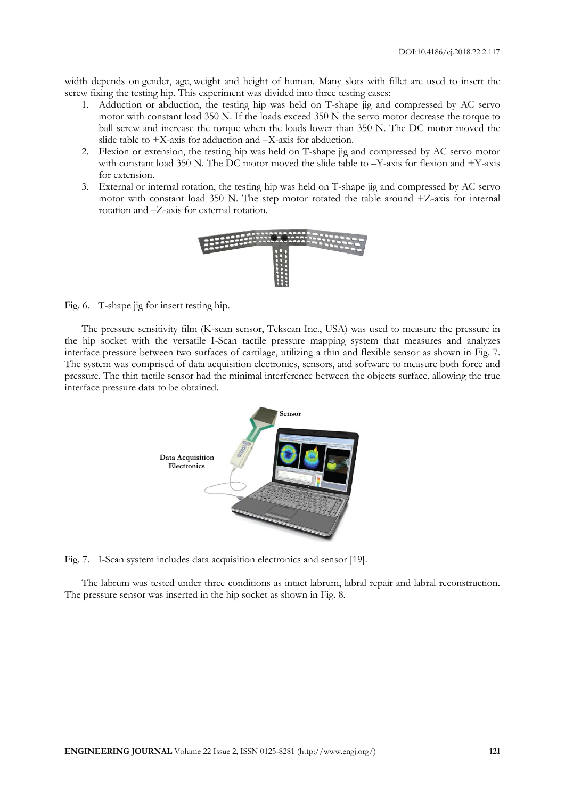width depends on gender, age, weight and height of human. Many slots with fillet are used to insert the screw fixing the testing hip. This experiment was divided into three testing cases:

- 1. Adduction or abduction, the testing hip was held on T-shape jig and compressed by AC servo motor with constant load 350 N. If the loads exceed 350 N the servo motor decrease the torque to ball screw and increase the torque when the loads lower than 350 N. The DC motor moved the slide table to +X-axis for adduction and –X-axis for abduction.
- 2. Flexion or extension, the testing hip was held on T-shape jig and compressed by AC servo motor with constant load 350 N. The DC motor moved the slide table to –Y-axis for flexion and +Y-axis for extension.
- 3. External or internal rotation, the testing hip was held on T-shape jig and compressed by AC servo motor with constant load 350 N. The step motor rotated the table around +Z-axis for internal rotation and –Z-axis for external rotation.



Fig. 6. T-shape jig for insert testing hip.

The pressure sensitivity film (K-scan sensor, Tekscan Inc., USA) was used to measure the pressure in the hip socket with the versatile I-Scan tactile pressure mapping system that measures and analyzes interface pressure between two surfaces of cartilage, utilizing a thin and flexible sensor as shown in Fig. 7. The system was comprised of data acquisition electronics, sensors, and software to measure both force and pressure. The thin tactile sensor had the minimal interference between the objects surface, allowing the true interface pressure data to be obtained.



Fig. 7. I-Scan system includes data acquisition electronics and sensor [19].

The labrum was tested under three conditions as intact labrum, labral repair and labral reconstruction. The pressure sensor was inserted in the hip socket as shown in Fig. 8.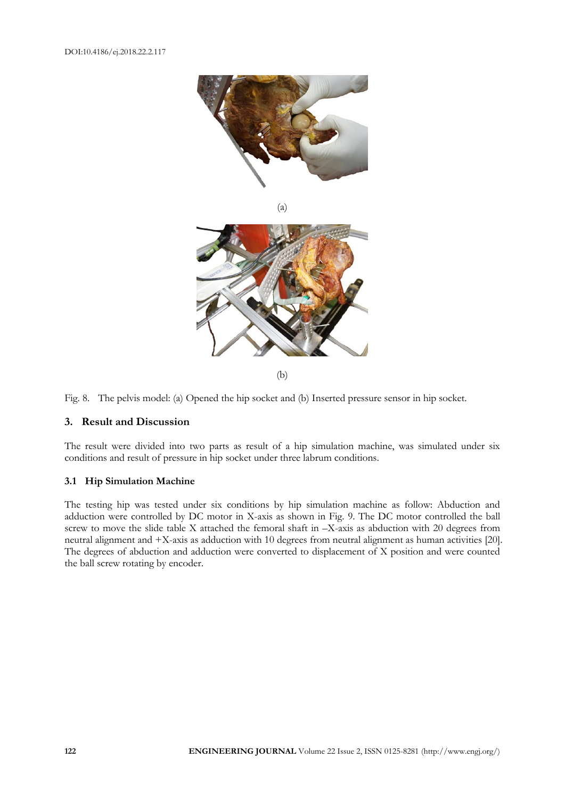

(a)



Fig. 8. The pelvis model: (a) Opened the hip socket and (b) Inserted pressure sensor in hip socket.

## **3. Result and Discussion**

The result were divided into two parts as result of a hip simulation machine, was simulated under six conditions and result of pressure in hip socket under three labrum conditions.

## **3.1 Hip Simulation Machine**

The testing hip was tested under six conditions by hip simulation machine as follow: Abduction and adduction were controlled by DC motor in X-axis as shown in Fig. 9. The DC motor controlled the ball screw to move the slide table X attached the femoral shaft in –X-axis as abduction with 20 degrees from neutral alignment and +X-axis as adduction with 10 degrees from neutral alignment as human activities [20]. The degrees of abduction and adduction were converted to displacement of X position and were counted the ball screw rotating by encoder.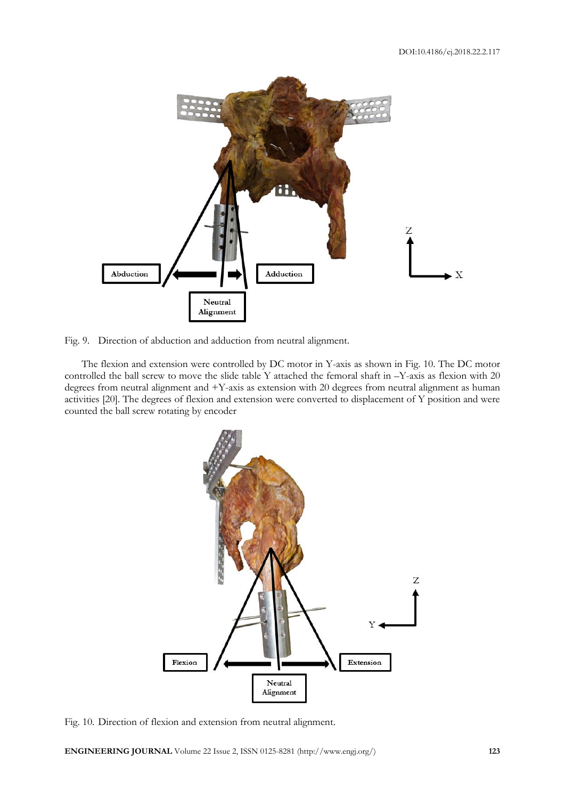

Fig. 9. Direction of abduction and adduction from neutral alignment.

The flexion and extension were controlled by DC motor in Y-axis as shown in Fig. 10. The DC motor controlled the ball screw to move the slide table Y attached the femoral shaft in –Y-axis as flexion with 20 degrees from neutral alignment and +Y-axis as extension with 20 degrees from neutral alignment as human activities [20]. The degrees of flexion and extension were converted to displacement of Y position and were counted the ball screw rotating by encoder



Fig. 10. Direction of flexion and extension from neutral alignment.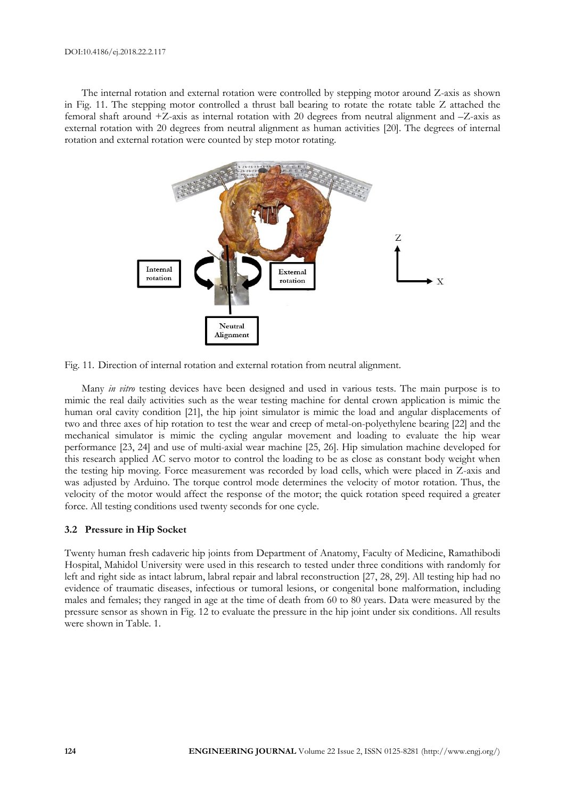The internal rotation and external rotation were controlled by stepping motor around Z-axis as shown in Fig. 11. The stepping motor controlled a thrust ball bearing to rotate the rotate table Z attached the femoral shaft around +Z-axis as internal rotation with 20 degrees from neutral alignment and –Z-axis as external rotation with 20 degrees from neutral alignment as human activities [20]. The degrees of internal rotation and external rotation were counted by step motor rotating.





Many *in vitro* testing devices have been designed and used in various tests. The main purpose is to mimic the real daily activities such as the wear testing machine for dental crown application is mimic the human oral cavity condition [21], the hip joint simulator is mimic the load and angular displacements of two and three axes of hip rotation to test the wear and creep of metal-on-polyethylene bearing [22] and the mechanical simulator is mimic the cycling angular movement and loading to evaluate the hip wear performance [23, 24] and use of multi-axial wear machine [25, 26]. Hip simulation machine developed for this research applied AC servo motor to control the loading to be as close as constant body weight when the testing hip moving. Force measurement was recorded by load cells, which were placed in Z-axis and was adjusted by Arduino. The torque control mode determines the velocity of motor rotation. Thus, the velocity of the motor would affect the response of the motor; the quick rotation speed required a greater force. All testing conditions used twenty seconds for one cycle.

## **3.2 Pressure in Hip Socket**

Twenty human fresh cadaveric hip joints from Department of Anatomy, Faculty of Medicine, Ramathibodi Hospital, Mahidol University were used in this research to tested under three conditions with randomly for left and right side as intact labrum, labral repair and labral reconstruction [27, 28, 29]. All testing hip had no evidence of traumatic diseases, infectious or tumoral lesions, or congenital bone malformation, including males and females; they ranged in age at the time of death from 60 to 80 years. Data were measured by the pressure sensor as shown in Fig. 12 to evaluate the pressure in the hip joint under six conditions. All results were shown in Table. 1.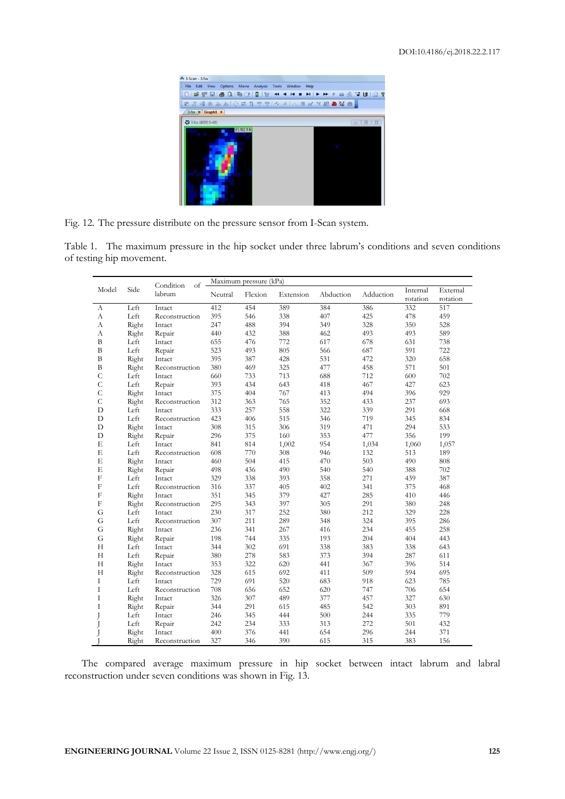

Fig. 12. The pressure distribute on the pressure sensor from I-Scan system.

Table 1. The maximum pressure in the hip socket under three labrum's conditions and seven conditions of testing hip movement.

|               |       | Condition<br>$of$ . | Maximum pressure (kPa) |         |           |           |           |          |          |
|---------------|-------|---------------------|------------------------|---------|-----------|-----------|-----------|----------|----------|
| Model         | Side  | labrum              | Neutral                | Flexion | Extension | Abduction | Adduction | Internal | External |
|               |       |                     |                        |         |           |           |           | rotation | rotation |
| А             | Left  | Intact              | 412                    | 454     | 389       | 384       | 386       | 332      | 517      |
| А             | Left  | Reconstruction      | 395                    | 546     | 338       | 407       | 425       | 478      | 459      |
| A             | Right | Intact              | 247                    | 488     | 394       | 349       | 328       | 350      | 528      |
| A             | Right | Repair              | 440                    | 432     | 388       | 462       | 493       | 493      | 589      |
| $\bf{B}$      | Left  | Intact              | 655                    | 476     | 772       | 617       | 678       | 631      | 738      |
| B             | Left  | Repair              | 523                    | 493     | 805       | 566       | 687       | 591      | 722      |
| $\, {\bf B}$  | Right | Intact              | 395                    | 387     | 428       | 531       | 472       | 320      | 658      |
| $\bf{B}$      | Right | Reconstruction      | 380                    | 469     | 325       | 477       | 458       | 571      | 501      |
| $\mathcal{C}$ | Left  | Intact              | 660                    | 733     | 713       | 688       | 712       | 600      | 702      |
| $\mathsf{C}$  | Left  | Repair              | 393                    | 434     | 643       | 418       | 467       | 427      | 623      |
| $\mathcal{C}$ | Right | Intact              | 375                    | 404     | 767       | 413       | 494       | 396      | 929      |
| $\mathsf{C}$  | Right | Reconstruction      | 312                    | 363     | 765       | 352       | 433       | 237      | 693      |
| D             | Left  | Intact              | 333                    | 257     | 558       | 322       | 339       | 291      | 668      |
| $\mathbf D$   | Left  | Reconstruction      | 423                    | 406     | 515       | 346       | 719       | 345      | 834      |
| D             | Right | Intact              | 308                    | 315     | 306       | 319       | 471       | 294      | 533      |
| D             | Right | Repair              | 296                    | 375     | 160       | 353       | 477       | 356      | 199      |
| E             | Left  | Intact              | 841                    | 814     | 1,002     | 954       | 1,034     | 1,060    | 1,057    |
| E             | Left  | Reconstruction      | 608                    | 770     | 308       | 946       | 132       | 513      | 189      |
| E             | Right | Intact              | 460                    | 504     | 415       | 470       | 503       | 490      | 808      |
| E             | Right | Repair              | 498                    | 436     | 490       | 540       | 540       | 388      | 702      |
| $\mathbf{F}$  | Left  | Intact              | 329                    | 338     | 393       | 358       | 271       | 439      | 387      |
| $\mathbf{F}$  | Left  | Reconstruction      | 316                    | 337     | 405       | 402       | 341       | 375      | 468      |
| $_{\rm F}$    | Right | Intact              | 351                    | 345     | 379       | 427       | 285       | 410      | 446      |
| $\mathbf{F}$  | Right | Reconstruction      | 295                    | 343     | 397       | 305       | 291       | 380      | 248      |
| G             | Left  | Intact              | 230                    | 317     | 252       | 380       | 212       | 329      | 228      |
| G             | Left  | Reconstruction      | 307                    | 211     | 289       | 348       | 324       | 395      | 286      |
| G             | Right | Intact              | 236                    | 341     | 267       | 416       | 234       | 455      | 258      |
| G             | Right | Repair              | 198                    | 744     | 335       | 193       | 204       | 404      | 443      |
| H             | Left  | Intact              | 344                    | 302     | 691       | 338       | 383       | 338      | 643      |
| H             | Left  | Repair              | 380                    | 278     | 583       | 373       | 394       | 287      | 611      |
| H             | Right | Intact              | 353                    | 322     | 620       | 441       | 367       | 396      | 514      |
| H             | Right | Reconstruction      | 328                    | 615     | 692       | 411       | 509       | 594      | 695      |
| I             | Left  | Intact              | 729                    | 691     | 520       | 683       | 918       | 623      | 785      |
| I             | Left  | Reconstruction      | 708                    | 656     | 652       | 620       | 747       | 706      | 654      |
| T             | Right | Intact              | 326                    | 307     | 489       | 377       | 457       | 327      | 630      |
| I             | Right | Repair              | 344                    | 291     | 615       | 485       | 542       | 303      | 891      |
| J             | Left  | Intact              | 246                    | 345     | 444       | 500       | 244       | 335      | 779      |
|               | Left  | Repair              | 242                    | 234     | 333       | 313       | 272       | 501      | 432      |
|               | Right | Intact              | 400                    | 376     | 441       | 654       | 296       | 244      | 371      |
|               | Right | Reconstruction      | 327                    | 346     | 390       | 615       | 315       | 383      | 156      |

The compared average maximum pressure in hip socket between intact labrum and labral reconstruction under seven conditions was shown in Fig. 13.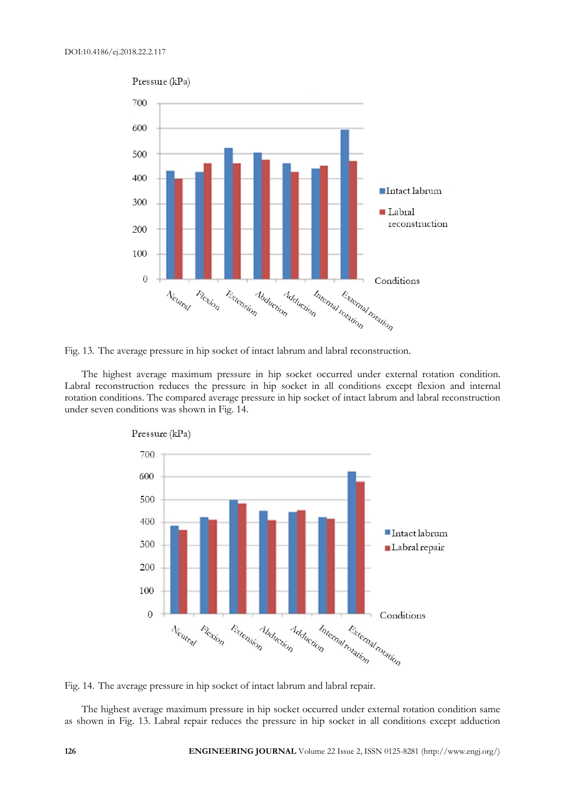

Fig. 13. The average pressure in hip socket of intact labrum and labral reconstruction.

The highest average maximum pressure in hip socket occurred under external rotation condition. Labral reconstruction reduces the pressure in hip socket in all conditions except flexion and internal rotation conditions. The compared average pressure in hip socket of intact labrum and labral reconstruction under seven conditions was shown in Fig. 14.





The highest average maximum pressure in hip socket occurred under external rotation condition same as shown in Fig. 13. Labral repair reduces the pressure in hip socket in all conditions except adduction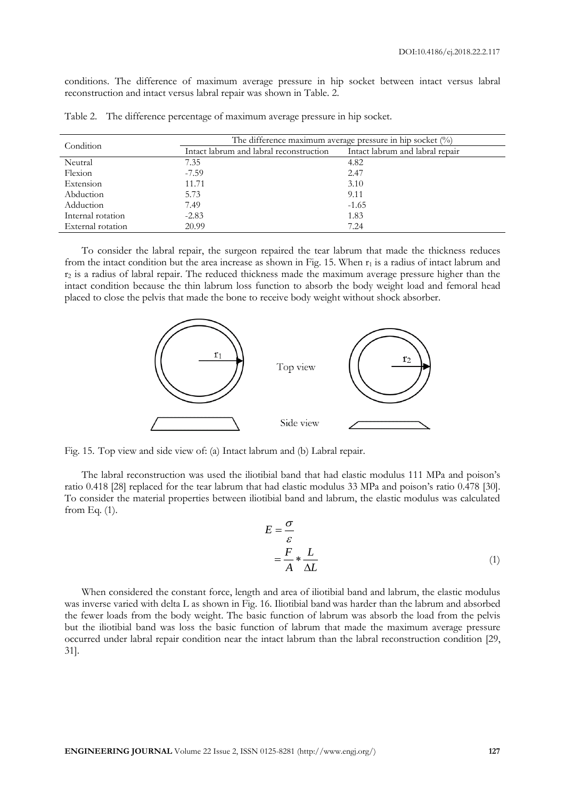conditions. The difference of maximum average pressure in hip socket between intact versus labral reconstruction and intact versus labral repair was shown in Table. 2.

| Condition         | The difference maximum average pressure in hip socket $(\%)$ |                                 |  |  |  |  |
|-------------------|--------------------------------------------------------------|---------------------------------|--|--|--|--|
|                   | Intact labrum and labral reconstruction                      | Intact labrum and labral repair |  |  |  |  |
| Neutral           | 7.35                                                         | 4.82                            |  |  |  |  |
| Flexion           | $-7.59$                                                      | 2.47                            |  |  |  |  |
| Extension         | 11.71                                                        | 3.10                            |  |  |  |  |
| Abduction         | 5.73                                                         | 9.11                            |  |  |  |  |
| Adduction         | 7.49                                                         | $-1.65$                         |  |  |  |  |
| Internal rotation | $-2.83$                                                      | 1.83                            |  |  |  |  |
| External rotation | 20.99                                                        | 7.24                            |  |  |  |  |

Table 2. The difference percentage of maximum average pressure in hip socket.

To consider the labral repair, the surgeon repaired the tear labrum that made the thickness reduces from the intact condition but the area increase as shown in Fig. 15. When  $r_1$  is a radius of intact labrum and r<sup>2</sup> is a radius of labral repair. The reduced thickness made the maximum average pressure higher than the intact condition because the thin labrum loss function to absorb the body weight load and femoral head placed to close the pelvis that made the bone to receive body weight without shock absorber.



Fig. 15. Top view and side view of: (a) Intact labrum and (b) Labral repair.

The labral reconstruction was used the iliotibial band that had elastic modulus 111 MPa and poison's ratio 0.418 [28] replaced for the tear labrum that had elastic modulus 33 MPa and poison's ratio 0.478 [30]. To consider the material properties between iliotibial band and labrum, the elastic modulus was calculated from Eq.  $(1)$ .

$$
E = \frac{\sigma}{\varepsilon}
$$
  
=  $\frac{F}{A} * \frac{L}{\Delta L}$  (1)

When considered the constant force, length and area of iliotibial band and labrum, the elastic modulus was inverse varied with delta L as shown in Fig. 16. Iliotibial band was harder than the labrum and absorbed the fewer loads from the body weight. The basic function of labrum was absorb the load from the pelvis but the iliotibial band was loss the basic function of labrum that made the maximum average pressure occurred under labral repair condition near the intact labrum than the labral reconstruction condition [29, 31].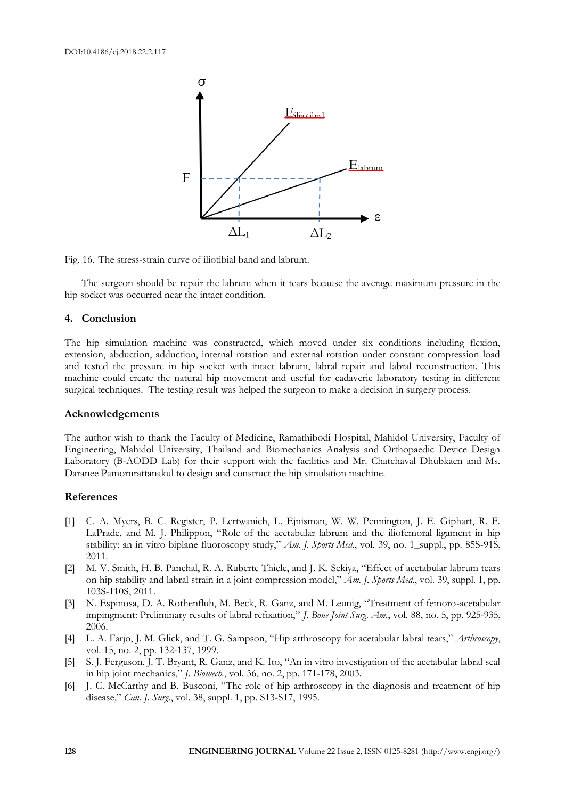

Fig. 16. The stress-strain curve of iliotibial band and labrum.

The surgeon should be repair the labrum when it tears because the average maximum pressure in the hip socket was occurred near the intact condition.

#### **4. Conclusion**

The hip simulation machine was constructed, which moved under six conditions including flexion, extension, abduction, adduction, internal rotation and external rotation under constant compression load and tested the pressure in hip socket with intact labrum, labral repair and labral reconstruction. This machine could create the natural hip movement and useful for cadaveric laboratory testing in different surgical techniques. The testing result was helped the surgeon to make a decision in surgery process.

#### **Acknowledgements**

The author wish to thank the Faculty of Medicine, Ramathibodi Hospital, Mahidol University, Faculty of Engineering, Mahidol University, Thailand and Biomechanics Analysis and Orthopaedic Device Design Laboratory (B-AODD Lab) for their support with the facilities and Mr. Chatchaval Dhubkaen and Ms. Daranee Pamornrattanakul to design and construct the hip simulation machine.

#### **References**

- [1] C. A. Myers, B. C. Register, P. Lertwanich, L. Ejnisman, W. W. Pennington, J. E. Giphart, R. F. LaPrade, and M. J. Philippon, "Role of the acetabular labrum and the iliofemoral ligament in hip stability: an in vitro biplane fluoroscopy study," *Am. J. Sports Med.*, vol. 39, no. 1\_suppl., pp. 85S-91S, 2011.
- [2] M. V. Smith, H. B. Panchal, R. A. Ruberte Thiele, and J. K. Sekiya, "Effect of acetabular labrum tears on hip stability and labral strain in a joint compression model," *Am. J. Sports Med.*, vol. 39, suppl. 1, pp. 103S-110S, 2011.
- [3] N. Espinosa, D. A. Rothenfluh, M. Beck, R. Ganz, and M. Leunig, "Treatment of femoro-acetabular impingment: Preliminary results of labral refixation," *J. Bone Joint Surg. Am.*, vol. 88, no. 5, pp. 925-935, 2006.
- [4] L. A. Farjo, J. M. Glick, and T. G. Sampson, "Hip arthroscopy for acetabular labral tears," *Arthroscopy*, vol. 15, no. 2, pp. 132-137, 1999.
- [5] S. J. Ferguson, J. T. Bryant, R. Ganz, and K. Ito, "An in vitro investigation of the acetabular labral seal in hip joint mechanics," *J. Biomech.*, vol. 36, no. 2, pp. 171-178, 2003.
- [6] J. C. McCarthy and B. Busconi, "The role of hip arthroscopy in the diagnosis and treatment of hip disease," *Can. J. Surg.*, vol. 38, suppl. 1, pp. S13-S17, 1995.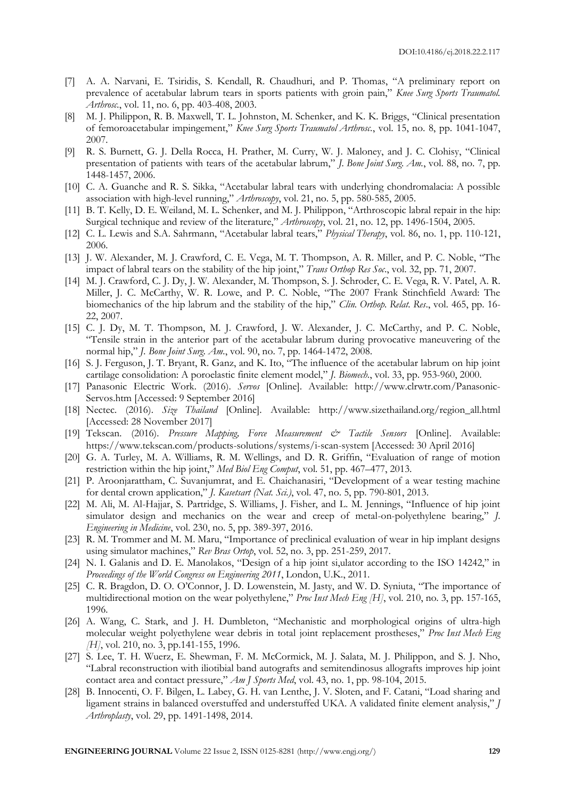- [7] A. A. Narvani, E. Tsiridis, S. Kendall, R. Chaudhuri, and P. Thomas, "A preliminary report on prevalence of acetabular labrum tears in sports patients with groin pain," *Knee Surg Sports Traumatol. Arthrosc.*, vol. 11, no. 6, pp. 403-408, 2003.
- [8] M. J. Philippon, R. B. Maxwell, T. L. Johnston, M. Schenker, and K. K. Briggs, "Clinical presentation of femoroacetabular impingement," *Knee Surg Sports Traumatol Arthrosc.*, vol. 15, no. 8, pp. 1041-1047, 2007.
- [9] R. S. Burnett, G. J. Della Rocca, H. Prather, M. Curry, W. J. Maloney, and J. C. Clohisy, "Clinical presentation of patients with tears of the acetabular labrum," *J. Bone Joint Surg. Am.*, vol. 88, no. 7, pp. 1448-1457, 2006.
- [10] C. A. Guanche and R. S. Sikka, "Acetabular labral tears with underlying chondromalacia: A possible association with high-level running," *Arthroscopy*, vol. 21, no. 5, pp. 580-585, 2005.
- [11] B. T. Kelly, D. E. Weiland, M. L. Schenker, and M. J. Philippon, "Arthroscopic labral repair in the hip: Surgical technique and review of the literature," *Arthroscopy*, vol. 21, no. 12, pp. 1496-1504, 2005.
- [12] C. L. Lewis and S.A. Sahrmann, "Acetabular labral tears," *Physical Therapy*, vol. 86, no. 1, pp. 110-121, 2006.
- [13] J. W. Alexander, M. J. Crawford, C. E. Vega, M. T. Thompson, A. R. Miller, and P. C. Noble, "The impact of labral tears on the stability of the hip joint," *Trans Orthop Res Soc*., vol. 32, pp. 71, 2007.
- [14] M. J. Crawford, C. J. Dy, J. W. Alexander, M. Thompson, S. J. Schroder, C. E. Vega, R. V. Patel, A. R. Miller, J. C. McCarthy, W. R. Lowe, and P. C. Noble, "The 2007 Frank Stinchfield Award: The biomechanics of the hip labrum and the stability of the hip," *Clin. Orthop. Relat. Res*., vol. 465, pp. 16- 22, 2007.
- [15] C. J. Dy, M. T. Thompson, M. J. Crawford, J. W. Alexander, J. C. McCarthy, and P. C. Noble, "Tensile strain in the anterior part of the acetabular labrum during provocative maneuvering of the normal hip," *J. Bone Joint Surg. Am.*, vol. 90, no. 7, pp. 1464-1472, 2008.
- [16] S. J. Ferguson, J. T. Bryant, R. Ganz, and K. Ito, "The influence of the acetabular labrum on hip joint cartilage consolidation: A poroelastic finite element model," *J. Biomech.*, vol. 33, pp. 953-960, 2000.
- [17] Panasonic Electric Work. (2016). *Servos* [Online]. Available: http://www.clrwtr.com/Panasonic-Servos.htm [Accessed: 9 September 2016]
- [18] Nectec. (2016). *Size Thailand* [Online]. Available: http://www.sizethailand.org/region\_all.html [Accessed: 28 November 2017]
- [19] Tekscan. (2016). *Pressure Mapping, Force Measurement & Tactile Sensors* [Online]. Available: https://www.tekscan.com/products-solutions/systems/i-scan-system [Accessed: 30 April 2016]
- [20] G. A. Turley, M. A. Williams, R. M. Wellings, and D. R. Griffin, "Evaluation of range of motion restriction within the hip joint," *Med Biol Eng Comput*, vol. 51, pp. 467–477, 2013.
- [21] P. Aroonjarattham, C. Suvanjumrat, and E. Chaichanasiri, "Development of a wear testing machine for dental crown application," *J. Kasetsart (Nat. Sci.)*, vol. 47, no. 5, pp. 790-801, 2013.
- [22] M. Ali, M. Al-Hajjar, S. Partridge, S. Williams, J. Fisher, and L. M. Jennings, "Influence of hip joint simulator design and mechanics on the wear and creep of metal-on-polyethylene bearing," *J. Engineering in Medicine*, vol. 230, no. 5, pp. 389-397, 2016.
- [23] R. M. Trommer and M. M. Maru, "Importance of preclinical evaluation of wear in hip implant designs using simulator machines," *Rev Bras Ortop*, vol. 52, no. 3, pp. 251-259, 2017.
- [24] N. I. Galanis and D. E. Manolakos, "Design of a hip joint si,ulator according to the ISO 14242," in *Proceedings of the World Congress on Engineering 2011*, London, U.K., 2011.
- [25] C. R. Bragdon, D. O. O'Connor, J. D. Lowenstein, M. Jasty, and W. D. Syniuta, "The importance of multidirectional motion on the wear polyethylene," *Proc Inst Mech Eng [H]*, vol. 210, no. 3, pp. 157-165, 1996.
- [26] A. Wang, C. Stark, and J. H. Dumbleton, "Mechanistic and morphological origins of ultra-high molecular weight polyethylene wear debris in total joint replacement prostheses," *Proc Inst Mech Eng [H]*, vol. 210, no. 3, pp.141-155, 1996.
- [27] S. Lee, T. H. Wuerz, E. Shewman, F. M. McCormick, M. J. Salata, M. J. Philippon, and S. J. Nho, "Labral reconstruction with iliotibial band autografts and semitendinosus allografts improves hip joint contact area and contact pressure," *Am J Sports Med*, vol. 43, no. 1, pp. 98-104, 2015.
- [28] B. Innocenti, O. F. Bilgen, L. Labey, G. H. van Lenthe, J. V. Sloten, and F. Catani, "Load sharing and ligament strains in balanced overstuffed and understuffed UKA. A validated finite element analysis," *J Arthroplasty*, vol. 29, pp. 1491-1498, 2014.